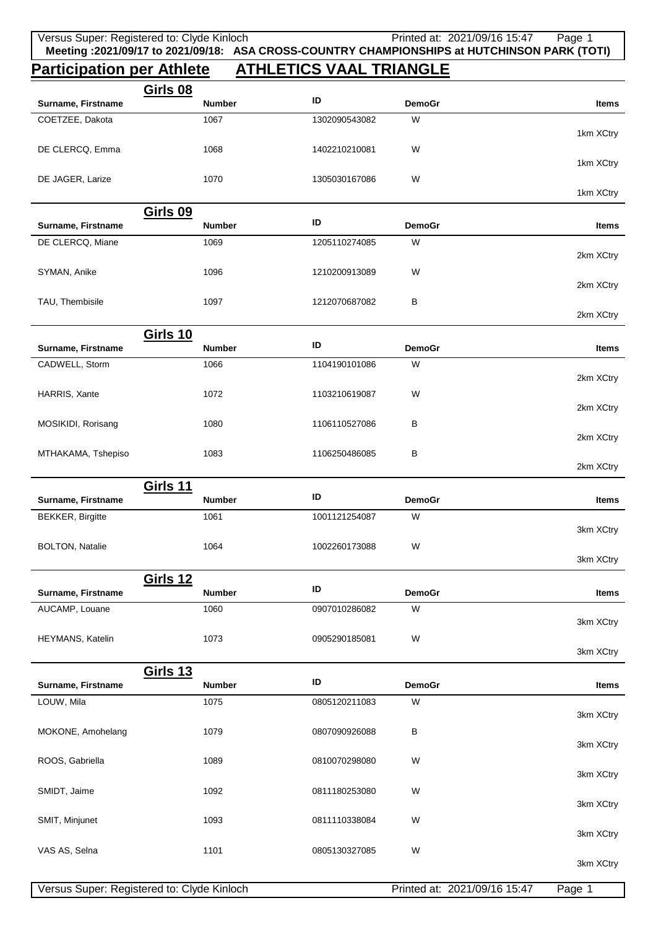## **Participation per Athlete ATHLETICS VAAL TRIANGLE**

|                                            | <b>Girls 08</b>                  |               |               |                              |                     |
|--------------------------------------------|----------------------------------|---------------|---------------|------------------------------|---------------------|
| Surname, Firstname                         | <b>Number</b>                    | ID            | <b>DemoGr</b> |                              | Items               |
| COETZEE, Dakota                            | 1067                             | 1302090543082 | W             |                              | 1km XCtry           |
| DE CLERCQ, Emma                            | 1068                             | 1402210210081 | W             |                              |                     |
|                                            |                                  |               |               |                              | 1km XCtry           |
| DE JAGER, Larize                           | 1070                             | 1305030167086 | W             |                              | 1km XCtry           |
|                                            | <b>Girls 09</b>                  |               |               |                              |                     |
| Surname, Firstname                         | <b>Number</b>                    | ID            | <b>DemoGr</b> |                              | Items               |
| DE CLERCQ, Miane                           | 1069                             | 1205110274085 | W             |                              |                     |
|                                            |                                  |               |               |                              | 2km XCtry           |
| SYMAN, Anike                               | 1096                             | 1210200913089 | W             |                              | 2km XCtry           |
| TAU, Thembisile                            | 1097                             | 1212070687082 | B             |                              |                     |
|                                            |                                  |               |               |                              | 2km XCtry           |
|                                            | <b>Girls 10</b>                  |               |               |                              |                     |
| Surname, Firstname                         | <b>Number</b>                    | ID            | <b>DemoGr</b> |                              | Items               |
| CADWELL, Storm                             | 1066                             | 1104190101086 | W             |                              |                     |
|                                            |                                  |               |               |                              | 2km XCtry           |
| HARRIS, Xante                              | 1072                             | 1103210619087 | W             |                              |                     |
|                                            |                                  |               |               |                              | 2km XCtry           |
| MOSIKIDI, Rorisang                         | 1080                             | 1106110527086 | В             |                              |                     |
|                                            |                                  |               |               |                              | 2km XCtry           |
| MTHAKAMA, Tshepiso                         | 1083                             | 1106250486085 | В             |                              |                     |
|                                            |                                  |               |               |                              | 2km XCtry           |
|                                            | <b>Girls 11</b>                  |               |               |                              |                     |
|                                            |                                  |               |               |                              |                     |
| Surname, Firstname                         | <b>Number</b>                    | ID            | <b>DemoGr</b> |                              | Items               |
| <b>BEKKER, Birgitte</b>                    | 1061                             | 1001121254087 | W             |                              |                     |
|                                            |                                  |               |               |                              | 3km XCtry           |
| <b>BOLTON, Natalie</b>                     | 1064                             | 1002260173088 | W             |                              |                     |
|                                            |                                  |               |               |                              | 3km XCtry           |
|                                            |                                  |               |               |                              |                     |
| Surname, Firstname                         | <b>Girls 12</b><br><b>Number</b> | ID            | <b>DemoGr</b> |                              | <b>Items</b>        |
| AUCAMP, Louane                             | 1060                             | 0907010286082 | W             |                              |                     |
|                                            |                                  |               |               |                              | 3km XCtry           |
| HEYMANS, Katelin                           | 1073                             | 0905290185081 | W             |                              |                     |
|                                            |                                  |               |               |                              | 3km XCtry           |
|                                            | <b>Girls 13</b>                  |               |               |                              |                     |
| Surname, Firstname                         | <b>Number</b>                    | ID            | <b>DemoGr</b> |                              | Items               |
| LOUW, Mila                                 | 1075                             | 0805120211083 | W             |                              |                     |
|                                            |                                  |               |               |                              | 3km XCtry           |
| MOKONE, Amohelang                          | 1079                             | 0807090926088 | B             |                              |                     |
|                                            |                                  |               |               |                              | 3km XCtry           |
| ROOS, Gabriella                            | 1089                             | 0810070298080 | W             |                              |                     |
|                                            |                                  |               |               |                              | 3km XCtry           |
| SMIDT, Jaime                               | 1092                             | 0811180253080 | W             |                              |                     |
|                                            |                                  |               |               |                              | 3km XCtry           |
| SMIT, Minjunet                             | 1093                             | 0811110338084 | W             |                              |                     |
|                                            |                                  |               |               |                              | 3km XCtry           |
| VAS AS, Selna                              | 1101                             | 0805130327085 | W             |                              |                     |
| Versus Super: Registered to: Clyde Kinloch |                                  |               |               | Printed at: 2021/09/16 15:47 | 3km XCtry<br>Page 1 |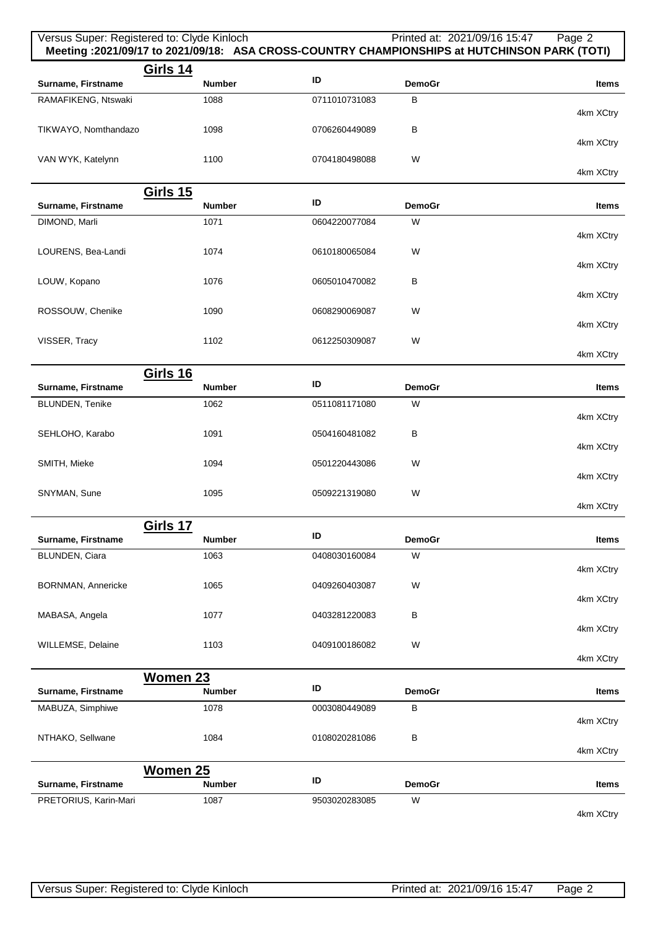| Versus Super: Registered to: Clyde Kinloch |                                  |               |               | Printed at: 2021/09/16 15:47<br>Page 2<br>Meeting :2021/09/17 to 2021/09/18: ASA CROSS-COUNTRY CHAMPIONSHIPS at HUTCHINSON PARK (TOTI) |
|--------------------------------------------|----------------------------------|---------------|---------------|----------------------------------------------------------------------------------------------------------------------------------------|
| Surname, Firstname                         | <b>Girls 14</b><br><b>Number</b> | ID            | <b>DemoGr</b> | <b>Items</b>                                                                                                                           |
| RAMAFIKENG, Ntswaki                        | 1088                             | 0711010731083 | $\, {\bf B}$  |                                                                                                                                        |
| TIKWAYO, Nomthandazo                       | 1098                             | 0706260449089 | B             | 4km XCtry                                                                                                                              |
|                                            |                                  |               |               | 4km XCtry                                                                                                                              |
| VAN WYK, Katelynn                          | 1100                             | 0704180498088 | W             | 4km XCtry                                                                                                                              |
|                                            | <b>Girls 15</b>                  |               |               |                                                                                                                                        |
| Surname, Firstname                         | <b>Number</b>                    | ID            | <b>DemoGr</b> | Items                                                                                                                                  |
| DIMOND, Marli                              | 1071                             | 0604220077084 | W             |                                                                                                                                        |
|                                            |                                  |               |               | 4km XCtry                                                                                                                              |
| LOURENS, Bea-Landi                         | 1074                             | 0610180065084 | W             | 4km XCtry                                                                                                                              |
| LOUW, Kopano                               | 1076                             | 0605010470082 | В             |                                                                                                                                        |
|                                            |                                  |               |               | 4km XCtry                                                                                                                              |
| ROSSOUW, Chenike                           | 1090                             | 0608290069087 | W             |                                                                                                                                        |
|                                            |                                  |               |               | 4km XCtry                                                                                                                              |
| VISSER, Tracy                              | 1102                             | 0612250309087 | W             |                                                                                                                                        |
|                                            |                                  |               |               | 4km XCtry                                                                                                                              |
|                                            | <b>Girls 16</b>                  | ID            |               |                                                                                                                                        |
| Surname, Firstname                         | <b>Number</b>                    |               | <b>DemoGr</b> | <b>Items</b>                                                                                                                           |
| BLUNDEN, Tenike                            | 1062                             | 0511081171080 | W             | 4km XCtry                                                                                                                              |
| SEHLOHO, Karabo                            | 1091                             | 0504160481082 | B             |                                                                                                                                        |
|                                            |                                  |               |               | 4km XCtry                                                                                                                              |
| SMITH, Mieke                               | 1094                             | 0501220443086 | W             |                                                                                                                                        |
|                                            |                                  |               |               | 4km XCtry                                                                                                                              |
| SNYMAN, Sune                               | 1095                             | 0509221319080 | W             |                                                                                                                                        |
|                                            |                                  |               |               | 4km XCtry                                                                                                                              |
| Surname, Firstname                         | Girls 17<br><b>Number</b>        | ID            | <b>DemoGr</b> | Items                                                                                                                                  |
| BLUNDEN, Ciara                             | 1063                             | 0408030160084 | W             |                                                                                                                                        |
|                                            |                                  |               |               | 4km XCtry                                                                                                                              |
| <b>BORNMAN, Annericke</b>                  | 1065                             | 0409260403087 | W             |                                                                                                                                        |
|                                            |                                  |               |               | 4km XCtry                                                                                                                              |
| MABASA, Angela                             | 1077                             | 0403281220083 | B             |                                                                                                                                        |
|                                            |                                  |               |               | 4km XCtry                                                                                                                              |
| WILLEMSE, Delaine                          | 1103                             | 0409100186082 | W             | 4km XCtry                                                                                                                              |
|                                            | Women 23                         |               |               |                                                                                                                                        |
| Surname, Firstname                         | <b>Number</b>                    | ID            | <b>DemoGr</b> | Items                                                                                                                                  |
| MABUZA, Simphiwe                           | 1078                             | 0003080449089 | В             |                                                                                                                                        |
|                                            |                                  |               |               | 4km XCtry                                                                                                                              |
| NTHAKO, Sellwane                           | 1084                             | 0108020281086 | В             |                                                                                                                                        |
|                                            |                                  |               |               | 4km XCtry                                                                                                                              |
|                                            | Women 25                         | ID            |               |                                                                                                                                        |
| Surname, Firstname                         | <b>Number</b>                    |               | <b>DemoGr</b> | Items                                                                                                                                  |
| PRETORIUS, Karin-Mari                      | 1087                             | 9503020283085 | W             | 4km XCtry                                                                                                                              |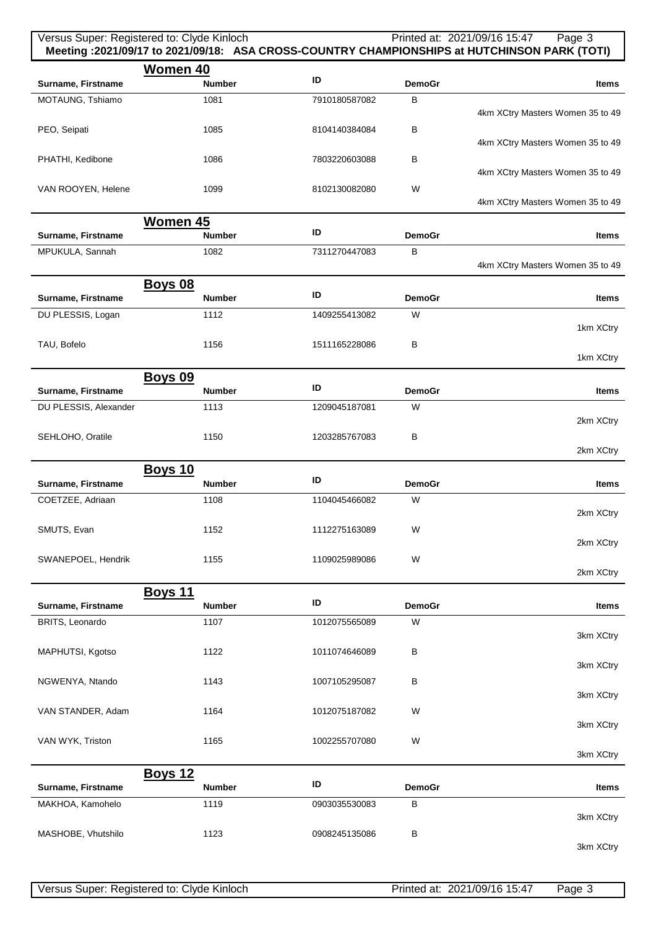|                                        | Versus Super: Registered to: Clyde Kinloch |               |                    | Printed at: 2021/09/16 15:47<br>Page 3<br>Meeting :2021/09/17 to 2021/09/18: ASA CROSS-COUNTRY CHAMPIONSHIPS at HUTCHINSON PARK (TOTI) |
|----------------------------------------|--------------------------------------------|---------------|--------------------|----------------------------------------------------------------------------------------------------------------------------------------|
| Surname, Firstname                     | <b>Women 40</b><br><b>Number</b>           | ID            | <b>DemoGr</b>      | <b>Items</b>                                                                                                                           |
| MOTAUNG, Tshiamo                       | 1081                                       | 7910180587082 | В                  |                                                                                                                                        |
| PEO, Seipati                           | 1085                                       | 8104140384084 | В                  | 4km XCtry Masters Women 35 to 49                                                                                                       |
| PHATHI, Kedibone                       | 1086                                       | 7803220603088 | В                  | 4km XCtry Masters Women 35 to 49                                                                                                       |
| VAN ROOYEN, Helene                     | 1099                                       | 8102130082080 | W                  | 4km XCtry Masters Women 35 to 49                                                                                                       |
|                                        |                                            |               |                    | 4km XCtry Masters Women 35 to 49                                                                                                       |
| Surname, Firstname                     | <b>Women 45</b><br><b>Number</b>           | ID            | <b>DemoGr</b>      | Items                                                                                                                                  |
| MPUKULA, Sannah                        | 1082                                       | 7311270447083 | В                  | 4km XCtry Masters Women 35 to 49                                                                                                       |
|                                        | <b>Boys 08</b>                             |               |                    |                                                                                                                                        |
| Surname, Firstname                     | <b>Number</b>                              | ID            | <b>DemoGr</b>      | <b>Items</b>                                                                                                                           |
| DU PLESSIS, Logan                      | 1112                                       | 1409255413082 | W                  | 1km XCtry                                                                                                                              |
| TAU, Bofelo                            | 1156                                       | 1511165228086 | в                  | 1km XCtry                                                                                                                              |
|                                        | <b>Boys 09</b>                             | ID            |                    |                                                                                                                                        |
| Surname, Firstname                     | <b>Number</b>                              |               | <b>DemoGr</b><br>W | <b>Items</b>                                                                                                                           |
| DU PLESSIS, Alexander                  | 1113                                       | 1209045187081 |                    | 2km XCtry                                                                                                                              |
| SEHLOHO, Oratile                       | 1150                                       | 1203285767083 | B                  | 2km XCtry                                                                                                                              |
|                                        | <b>Boys 10</b>                             | ID            |                    |                                                                                                                                        |
| Surname, Firstname<br>COETZEE, Adriaan | <b>Number</b><br>1108                      | 1104045466082 | <b>DemoGr</b><br>W | <b>Items</b>                                                                                                                           |
|                                        |                                            |               |                    | 2km XCtry                                                                                                                              |
| SMUTS, Evan                            | 1152                                       | 1112275163089 | W                  | 2km XCtry                                                                                                                              |
| SWANEPOEL, Hendrik                     | 1155                                       | 1109025989086 | W                  | 2km XCtry                                                                                                                              |
|                                        | <b>Boys 11</b>                             |               |                    |                                                                                                                                        |
| Surname, Firstname                     | <b>Number</b>                              | ID            | <b>DemoGr</b>      | Items                                                                                                                                  |
| BRITS, Leonardo                        | 1107                                       | 1012075565089 | W                  | 3km XCtry                                                                                                                              |
| MAPHUTSI, Kgotso                       | 1122                                       | 1011074646089 | B                  | 3km XCtry                                                                                                                              |
| NGWENYA, Ntando                        | 1143                                       | 1007105295087 | B                  | 3km XCtry                                                                                                                              |
| VAN STANDER, Adam                      | 1164                                       | 1012075187082 | W                  |                                                                                                                                        |
| VAN WYK, Triston                       | 1165                                       | 1002255707080 | W                  | 3km XCtry                                                                                                                              |
|                                        |                                            |               |                    | 3km XCtry                                                                                                                              |
| Surname, Firstname                     | <b>Boys 12</b><br><b>Number</b>            | ID            | <b>DemoGr</b>      | <b>Items</b>                                                                                                                           |
| MAKHOA, Kamohelo                       | 1119                                       | 0903035530083 | B                  |                                                                                                                                        |
| MASHOBE, Vhutshilo                     | 1123                                       | 0908245135086 | B                  | 3km XCtry                                                                                                                              |
|                                        |                                            |               |                    | 3km XCtry                                                                                                                              |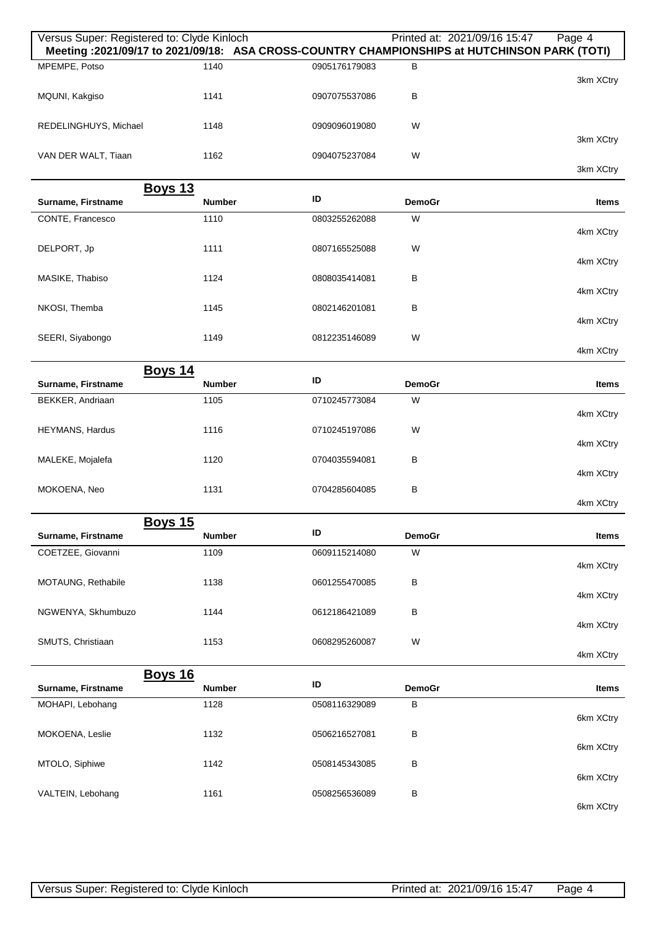| Versus Super: Registered to: Clyde Kinloch<br>Meeting : 2021/09/17 to 2021/09/18: ASA CROSS-COUNTRY CHAMPIONSHIPS at HUTCHINSON PARK (TOTI) |               |               | Printed at: 2021/09/16 15:47 | Page 4       |
|---------------------------------------------------------------------------------------------------------------------------------------------|---------------|---------------|------------------------------|--------------|
| MPEMPE, Potso                                                                                                                               | 1140          | 0905176179083 | B                            | 3km XCtry    |
| MQUNI, Kakgiso                                                                                                                              | 1141          | 0907075537086 | В                            |              |
| REDELINGHUYS, Michael                                                                                                                       | 1148          | 0909096019080 | W                            | 3km XCtry    |
| VAN DER WALT, Tiaan                                                                                                                         | 1162          | 0904075237084 | W                            | 3km XCtry    |
| <b>Boys 13</b>                                                                                                                              |               |               |                              |              |
| Surname, Firstname                                                                                                                          | <b>Number</b> | ID            | <b>DemoGr</b>                | <b>Items</b> |
| CONTE, Francesco                                                                                                                            | 1110          | 0803255262088 | W                            |              |
|                                                                                                                                             |               |               |                              | 4km XCtry    |
| DELPORT, Jp                                                                                                                                 | 1111          | 0807165525088 | W                            | 4km XCtry    |
| MASIKE, Thabiso                                                                                                                             | 1124          | 0808035414081 | B                            |              |
|                                                                                                                                             |               |               |                              | 4km XCtry    |
| NKOSI, Themba                                                                                                                               | 1145          | 0802146201081 | B                            | 4km XCtry    |
| SEERI, Siyabongo                                                                                                                            | 1149          | 0812235146089 | W                            |              |
|                                                                                                                                             |               |               |                              | 4km XCtry    |
| <b>Boys 14</b>                                                                                                                              |               |               |                              |              |
| Surname, Firstname                                                                                                                          | <b>Number</b> | ID            | <b>DemoGr</b>                | <b>Items</b> |
| BEKKER, Andriaan                                                                                                                            | 1105          | 0710245773084 | W                            | 4km XCtry    |
| HEYMANS, Hardus                                                                                                                             | 1116          | 0710245197086 | W                            |              |
| MALEKE, Mojalefa                                                                                                                            | 1120          | 0704035594081 | В                            | 4km XCtry    |
|                                                                                                                                             |               |               |                              | 4km XCtry    |
| MOKOENA, Neo                                                                                                                                | 1131          | 0704285604085 | B                            | 4km XCtry    |
| <b>Boys 15</b>                                                                                                                              |               |               |                              |              |
| Surname, Firstname                                                                                                                          | <b>Number</b> | ID            | <b>DemoGr</b>                | <b>Items</b> |
| COETZEE, Giovanni                                                                                                                           | 1109          | 0609115214080 | W                            |              |
| MOTAUNG, Rethabile                                                                                                                          | 1138          | 0601255470085 | B                            | 4km XCtry    |
|                                                                                                                                             |               |               |                              | 4km XCtry    |
| NGWENYA, Skhumbuzo                                                                                                                          | 1144          | 0612186421089 | В                            |              |
|                                                                                                                                             |               |               |                              | 4km XCtry    |
| SMUTS, Christiaan                                                                                                                           | 1153          | 0608295260087 | W                            | 4km XCtry    |
| <b>Boys 16</b>                                                                                                                              |               |               |                              |              |
| Surname, Firstname                                                                                                                          | <b>Number</b> | ID            | <b>DemoGr</b>                | Items        |
| MOHAPI, Lebohang                                                                                                                            | 1128          | 0508116329089 | В                            | 6km XCtry    |
| MOKOENA, Leslie                                                                                                                             | 1132          | 0506216527081 | В                            |              |
|                                                                                                                                             |               |               |                              | 6km XCtry    |
| MTOLO, Siphiwe                                                                                                                              | 1142          | 0508145343085 | В                            |              |
| VALTEIN, Lebohang                                                                                                                           | 1161          | 0508256536089 | B                            | 6km XCtry    |
|                                                                                                                                             |               |               |                              | 6km XCtry    |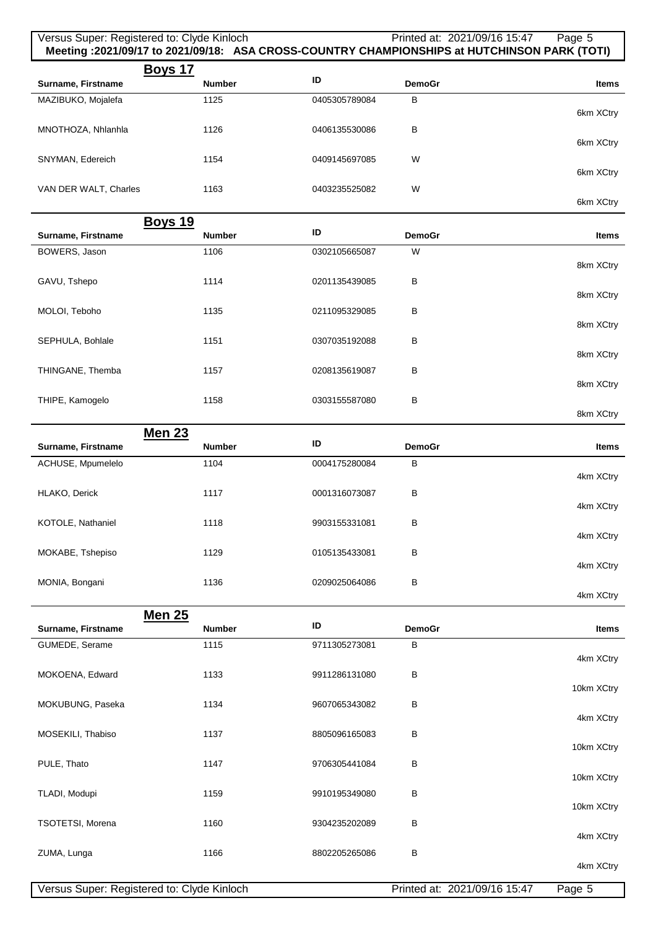## Versus Super: Registered to: Clyde Kinloch Printed at: 2021/09/16 15:47 Page 5 **Meeting :2021/09/17 to 2021/09/18: ASA CROSS-COUNTRY CHAMPIONSHIPS at HUTCHINSON PARK (TOTI) Boys 17 Surname, Firstname ID DemoGraphic** *ID* **DemoGraphic** *ID* **DemoGraphic** *I***D</del> <b>Items** MAZIBUKO, Mojalefa 6km XCtry 1125 0405305789084 B MNOTHOZA, Nhlanhla 6km XCtry 1126 0406135530086 B SNYMAN, Edereich 6km XCtry 1154 0409145697085 W VAN DER WALT, Charles 6km XCtry 1163 0403235525082 W

|                    | <b>Boys 19</b> |               |               |              |
|--------------------|----------------|---------------|---------------|--------------|
| Surname, Firstname | <b>Number</b>  | ID            | <b>DemoGr</b> | <b>Items</b> |
| BOWERS, Jason      | 1106           | 0302105665087 | W             |              |
|                    |                |               |               | 8km XCtry    |
| GAVU, Tshepo       | 1114           | 0201135439085 | B             | 8km XCtry    |
| MOLOI, Teboho      | 1135           | 0211095329085 | B             |              |
|                    |                |               |               | 8km XCtry    |
| SEPHULA, Bohlale   | 1151           | 0307035192088 | B             |              |
|                    |                |               |               | 8km XCtry    |
| THINGANE, Themba   | 1157           | 0208135619087 | B             |              |
|                    |                |               |               | 8km XCtry    |
| THIPE, Kamogelo    | 1158           | 0303155587080 | B             |              |

|                    | Men 23        |               |               |           |
|--------------------|---------------|---------------|---------------|-----------|
| Surname, Firstname | <b>Number</b> | ID            | <b>DemoGr</b> | Items     |
| ACHUSE, Mpumelelo  | 1104          | 0004175280084 | B             |           |
|                    |               |               |               | 4km XCtry |
| HLAKO, Derick      | 1117          | 0001316073087 | B             |           |
|                    |               |               |               | 4km XCtry |
| KOTOLE, Nathaniel  | 1118          | 9903155331081 | В             |           |
|                    |               |               |               | 4km XCtry |
| MOKABE, Tshepiso   | 1129          | 0105135433081 | в             |           |
|                    |               |               |               | 4km XCtry |
| MONIA, Bongani     | 1136          | 0209025064086 | B             |           |
|                    |               |               |               |           |

|                         | <b>Men 25</b> |               |               |              |
|-------------------------|---------------|---------------|---------------|--------------|
| Surname, Firstname      | <b>Number</b> | ID            | <b>DemoGr</b> | <b>Items</b> |
| GUMEDE, Serame          | 1115          | 9711305273081 | B             | 4km XCtry    |
| MOKOENA, Edward         | 1133          | 9911286131080 | B             | 10km XCtry   |
| MOKUBUNG, Paseka        | 1134          | 9607065343082 | B             | 4km XCtry    |
| MOSEKILI, Thabiso       | 1137          | 8805096165083 | B             | 10km XCtry   |
| PULE, Thato             | 1147          | 9706305441084 | B             | 10km XCtry   |
| TLADI, Modupi           | 1159          | 9910195349080 | B             | 10km XCtry   |
| <b>TSOTETSI, Morena</b> | 1160          | 9304235202089 | B             | 4km XCtry    |
| ZUMA, Lunga             | 1166          | 8802205265086 | B             | 4km XCtry    |

8km XCtry

4km XCtry